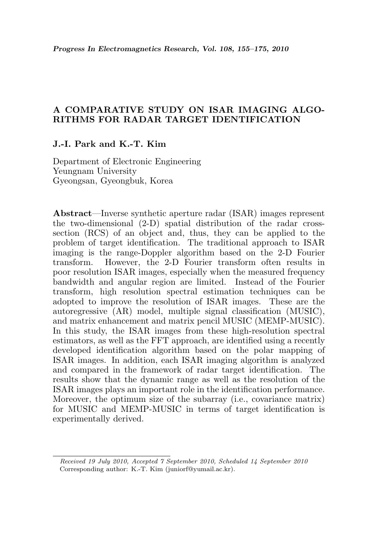# A COMPARATIVE STUDY ON ISAR IMAGING ALGO-RITHMS FOR RADAR TARGET IDENTIFICATION

### J.-I. Park and K.-T. Kim

Department of Electronic Engineering Yeungnam University Gyeongsan, Gyeongbuk, Korea

Abstract—Inverse synthetic aperture radar (ISAR) images represent the two-dimensional (2-D) spatial distribution of the radar crosssection (RCS) of an object and, thus, they can be applied to the problem of target identification. The traditional approach to ISAR imaging is the range-Doppler algorithm based on the 2-D Fourier transform. However, the 2-D Fourier transform often results in poor resolution ISAR images, especially when the measured frequency bandwidth and angular region are limited. Instead of the Fourier transform, high resolution spectral estimation techniques can be adopted to improve the resolution of ISAR images. These are the autoregressive (AR) model, multiple signal classification (MUSIC), and matrix enhancement and matrix pencil MUSIC (MEMP-MUSIC). In this study, the ISAR images from these high-resolution spectral estimators, as well as the FFT approach, are identified using a recently developed identification algorithm based on the polar mapping of ISAR images. In addition, each ISAR imaging algorithm is analyzed and compared in the framework of radar target identification. The results show that the dynamic range as well as the resolution of the ISAR images plays an important role in the identification performance. Moreover, the optimum size of the subarray (i.e., covariance matrix) for MUSIC and MEMP-MUSIC in terms of target identification is experimentally derived.

Received 19 July 2010, Accepted 7 September 2010, Scheduled 14 September 2010 Corresponding author: K.-T. Kim (juniorf@yumail.ac.kr).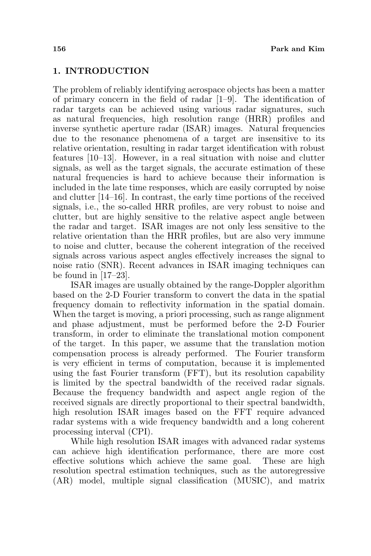# 1. INTRODUCTION

The problem of reliably identifying aerospace objects has been a matter of primary concern in the field of radar [1–9]. The identification of radar targets can be achieved using various radar signatures, such as natural frequencies, high resolution range (HRR) profiles and inverse synthetic aperture radar (ISAR) images. Natural frequencies due to the resonance phenomena of a target are insensitive to its relative orientation, resulting in radar target identification with robust features [10–13]. However, in a real situation with noise and clutter signals, as well as the target signals, the accurate estimation of these natural frequencies is hard to achieve because their information is included in the late time responses, which are easily corrupted by noise and clutter [14–16]. In contrast, the early time portions of the received signals, i.e., the so-called HRR profiles, are very robust to noise and clutter, but are highly sensitive to the relative aspect angle between the radar and target. ISAR images are not only less sensitive to the relative orientation than the HRR profiles, but are also very immune to noise and clutter, because the coherent integration of the received signals across various aspect angles effectively increases the signal to noise ratio (SNR). Recent advances in ISAR imaging techniques can be found in  $[17-23]$ .

ISAR images are usually obtained by the range-Doppler algorithm based on the 2-D Fourier transform to convert the data in the spatial frequency domain to reflectivity information in the spatial domain. When the target is moving, a priori processing, such as range alignment and phase adjustment, must be performed before the 2-D Fourier transform, in order to eliminate the translational motion component of the target. In this paper, we assume that the translation motion compensation process is already performed. The Fourier transform is very efficient in terms of computation, because it is implemented using the fast Fourier transform (FFT), but its resolution capability is limited by the spectral bandwidth of the received radar signals. Because the frequency bandwidth and aspect angle region of the received signals are directly proportional to their spectral bandwidth, high resolution ISAR images based on the FFT require advanced radar systems with a wide frequency bandwidth and a long coherent processing interval (CPI).

While high resolution ISAR images with advanced radar systems can achieve high identification performance, there are more cost effective solutions which achieve the same goal. These are high resolution spectral estimation techniques, such as the autoregressive (AR) model, multiple signal classification (MUSIC), and matrix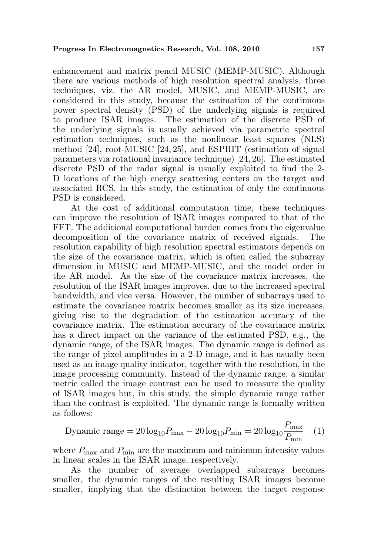enhancement and matrix pencil MUSIC (MEMP-MUSIC). Although there are various methods of high resolution spectral analysis, three techniques, viz. the AR model, MUSIC, and MEMP-MUSIC, are considered in this study, because the estimation of the continuous power spectral density (PSD) of the underlying signals is required to produce ISAR images. The estimation of the discrete PSD of the underlying signals is usually achieved via parametric spectral estimation techniques, such as the nonlinear least squares (NLS) method [24], root-MUSIC [24, 25], and ESPRIT (estimation of signal parameters via rotational invariance technique) [24, 26]. The estimated discrete PSD of the radar signal is usually exploited to find the 2- D locations of the high energy scattering centers on the target and associated RCS. In this study, the estimation of only the continuous PSD is considered.

At the cost of additional computation time, these techniques can improve the resolution of ISAR images compared to that of the FFT. The additional computational burden comes from the eigenvalue decomposition of the covariance matrix of received signals. The resolution capability of high resolution spectral estimators depends on the size of the covariance matrix, which is often called the subarray dimension in MUSIC and MEMP-MUSIC, and the model order in the AR model. As the size of the covariance matrix increases, the resolution of the ISAR images improves, due to the increased spectral bandwidth, and vice versa. However, the number of subarrays used to estimate the covariance matrix becomes smaller as its size increases, giving rise to the degradation of the estimation accuracy of the covariance matrix. The estimation accuracy of the covariance matrix has a direct impact on the variance of the estimated PSD, e.g., the dynamic range, of the ISAR images. The dynamic range is defined as the range of pixel amplitudes in a 2-D image, and it has usually been used as an image quality indicator, together with the resolution, in the image processing community. Instead of the dynamic range, a similar metric called the image contrast can be used to measure the quality of ISAR images but, in this study, the simple dynamic range rather than the contrast is exploited. The dynamic range is formally written as follows:

$$
\text{Dynamic range} = 20 \log_{10} P_{\text{max}} - 20 \log_{10} P_{\text{min}} = 20 \log_{10} \frac{P_{\text{max}}}{P_{\text{min}}} \quad (1)
$$

where  $P_{\text{max}}$  and  $P_{\text{min}}$  are the maximum and minimum intensity values in linear scales in the ISAR image, respectively.

As the number of average overlapped subarrays becomes smaller, the dynamic ranges of the resulting ISAR images become smaller, implying that the distinction between the target response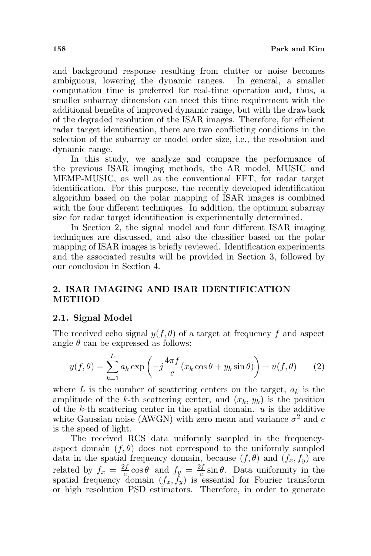and background response resulting from clutter or noise becomes ambiguous, lowering the dynamic ranges. In general, a smaller computation time is preferred for real-time operation and, thus, a smaller subarray dimension can meet this time requirement with the additional benefits of improved dynamic range, but with the drawback of the degraded resolution of the ISAR images. Therefore, for efficient radar target identification, there are two conflicting conditions in the selection of the subarray or model order size, i.e., the resolution and dynamic range.

In this study, we analyze and compare the performance of the previous ISAR imaging methods, the AR model, MUSIC and MEMP-MUSIC, as well as the conventional FFT, for radar target identification. For this purpose, the recently developed identification algorithm based on the polar mapping of ISAR images is combined with the four different techniques. In addition, the optimum subarray size for radar target identification is experimentally determined.

In Section 2, the signal model and four different ISAR imaging techniques are discussed, and also the classifier based on the polar mapping of ISAR images is briefly reviewed. Identification experiments and the associated results will be provided in Section 3, followed by our conclusion in Section 4.

# 2. ISAR IMAGING AND ISAR IDENTIFICATION METHOD

### 2.1. Signal Model

The received echo signal  $y(f, \theta)$  of a target at frequency f and aspect angle  $\theta$  can be expressed as follows:

$$
y(f,\theta) = \sum_{k=1}^{L} a_k \exp\left(-j\frac{4\pi f}{c}(x_k \cos\theta + y_k \sin\theta)\right) + u(f,\theta)
$$
 (2)

where L is the number of scattering centers on the target,  $a_k$  is the amplitude of the k-th scattering center, and  $(x_k, y_k)$  is the position of the  $k$ -th scattering center in the spatial domain.  $u$  is the additive white Gaussian noise (AWGN) with zero mean and variance  $\sigma^2$  and c is the speed of light.

The received RCS data uniformly sampled in the frequencyaspect domain  $(f, \theta)$  does not correspond to the uniformly sampled data in the spatial frequency domain, because  $(f, \theta)$  and  $(f_x, f_y)$  are related by  $f_x = \frac{2f}{c}$  $\frac{df}{c}$  cos  $\theta$  and  $f_y = \frac{2f}{c}$  $\frac{df}{c}$  sin  $\theta$ . Data uniformity in the spatial frequency domain  $(f_x, f_y)$  is essential for Fourier transform or high resolution PSD estimators. Therefore, in order to generate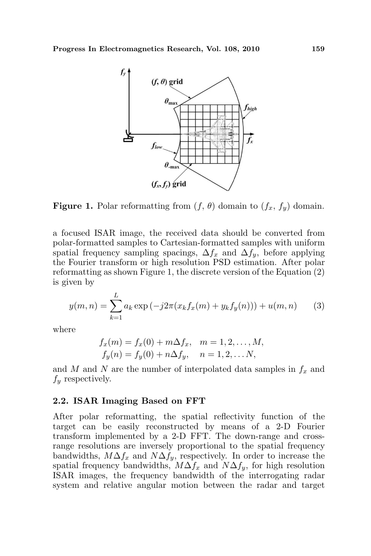

**Figure 1.** Polar reformatting from  $(f, \theta)$  domain to  $(f_x, f_y)$  domain.

a focused ISAR image, the received data should be converted from polar-formatted samples to Cartesian-formatted samples with uniform spatial frequency sampling spacings,  $\Delta f_x$  and  $\Delta f_y$ , before applying the Fourier transform or high resolution PSD estimation. After polar reformatting as shown Figure 1, the discrete version of the Equation (2) is given by

$$
y(m,n) = \sum_{k=1}^{L} a_k \exp(-j2\pi(x_k f_x(m) + y_k f_y(n))) + u(m,n)
$$
 (3)

where

$$
f_x(m) = f_x(0) + m\Delta f_x, \quad m = 1, 2, ..., M,
$$
  
\n
$$
f_y(n) = f_y(0) + n\Delta f_y, \quad n = 1, 2, ..., N,
$$

and  $M$  and  $N$  are the number of interpolated data samples in  $f_x$  and  $f_y$  respectively.

#### 2.2. ISAR Imaging Based on FFT

After polar reformatting, the spatial reflectivity function of the target can be easily reconstructed by means of a 2-D Fourier transform implemented by a 2-D FFT. The down-range and crossrange resolutions are inversely proportional to the spatial frequency bandwidths,  $M\Delta f_x$  and  $N\Delta f_y$ , respectively. In order to increase the spatial frequency bandwidths,  $M\Delta f_x$  and  $N\Delta f_y$ , for high resolution ISAR images, the frequency bandwidth of the interrogating radar system and relative angular motion between the radar and target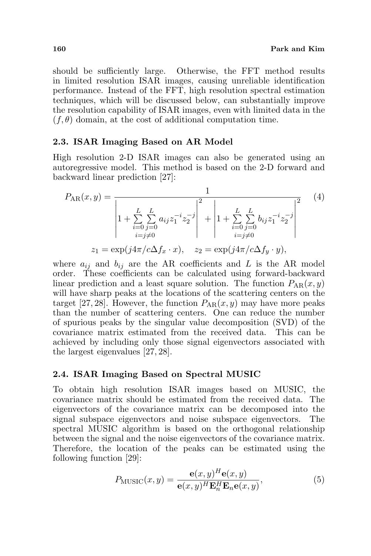should be sufficiently large. Otherwise, the FFT method results in limited resolution ISAR images, causing unreliable identification performance. Instead of the FFT, high resolution spectral estimation techniques, which will be discussed below, can substantially improve the resolution capability of ISAR images, even with limited data in the  $(f, \theta)$  domain, at the cost of additional computation time.

## 2.3. ISAR Imaging Based on AR Model

High resolution 2-D ISAR images can also be generated using an autoregressive model. This method is based on the 2-D forward and backward linear prediction [27]:

$$
P_{AR}(x,y) = \frac{1}{\left| 1 + \sum_{i=0}^{L} \sum_{j=0}^{L} a_{ij} z_1^{-i} z_2^{-j} \right|^2 + \left| 1 + \sum_{i=0}^{L} \sum_{j=0}^{L} b_{ij} z_1^{-i} z_2^{-j} \right|^2}
$$
(4)  

$$
z_1 = \exp(j4\pi/c\Delta f_x \cdot x), \quad z_2 = \exp(j4\pi/c\Delta f_y \cdot y),
$$

where  $a_{ij}$  and  $b_{ij}$  are the AR coefficients and L is the AR model order. These coefficients can be calculated using forward-backward linear prediction and a least square solution. The function  $P_{AR}(x, y)$ will have sharp peaks at the locations of the scattering centers on the target [27, 28]. However, the function  $P_{AR}(x, y)$  may have more peaks than the number of scattering centers. One can reduce the number of spurious peaks by the singular value decomposition (SVD) of the covariance matrix estimated from the received data. This can be achieved by including only those signal eigenvectors associated with the largest eigenvalues [27, 28].

# 2.4. ISAR Imaging Based on Spectral MUSIC

To obtain high resolution ISAR images based on MUSIC, the covariance matrix should be estimated from the received data. The eigenvectors of the covariance matrix can be decomposed into the signal subspace eigenvectors and noise subspace eigenvectors. The spectral MUSIC algorithm is based on the orthogonal relationship between the signal and the noise eigenvectors of the covariance matrix. Therefore, the location of the peaks can be estimated using the following function [29]:

$$
P_{\text{MUSIC}}(x, y) = \frac{\mathbf{e}(x, y)^H \mathbf{e}(x, y)}{\mathbf{e}(x, y)^H \mathbf{E}_n^H \mathbf{E}_n \mathbf{e}(x, y)},
$$
(5)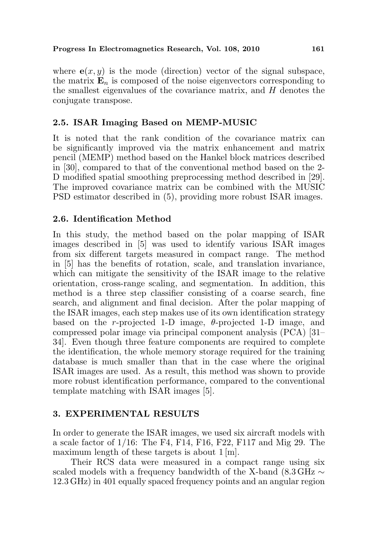where  $e(x, y)$  is the mode (direction) vector of the signal subspace, the matrix  $\mathbf{E}_n$  is composed of the noise eigenvectors corresponding to the smallest eigenvalues of the covariance matrix, and  $H$  denotes the conjugate transpose.

# 2.5. ISAR Imaging Based on MEMP-MUSIC

It is noted that the rank condition of the covariance matrix can be significantly improved via the matrix enhancement and matrix pencil (MEMP) method based on the Hankel block matrices described in [30], compared to that of the conventional method based on the 2- D modified spatial smoothing preprocessing method described in [29]. The improved covariance matrix can be combined with the MUSIC PSD estimator described in (5), providing more robust ISAR images.

# 2.6. Identification Method

In this study, the method based on the polar mapping of ISAR images described in [5] was used to identify various ISAR images from six different targets measured in compact range. The method in [5] has the benefits of rotation, scale, and translation invariance, which can mitigate the sensitivity of the ISAR image to the relative orientation, cross-range scaling, and segmentation. In addition, this method is a three step classifier consisting of a coarse search, fine search, and alignment and final decision. After the polar mapping of the ISAR images, each step makes use of its own identification strategy based on the r-projected 1-D image,  $\theta$ -projected 1-D image, and compressed polar image via principal component analysis (PCA) [31– 34]. Even though three feature components are required to complete the identification, the whole memory storage required for the training database is much smaller than that in the case where the original ISAR images are used. As a result, this method was shown to provide more robust identification performance, compared to the conventional template matching with ISAR images [5].

# 3. EXPERIMENTAL RESULTS

In order to generate the ISAR images, we used six aircraft models with a scale factor of 1/16: The F4, F14, F16, F22, F117 and Mig 29. The maximum length of these targets is about 1 [m].

Their RCS data were measured in a compact range using six scaled models with a frequency bandwidth of the X-band (8.3 GHz  $\sim$ 12.3 GHz) in 401 equally spaced frequency points and an angular region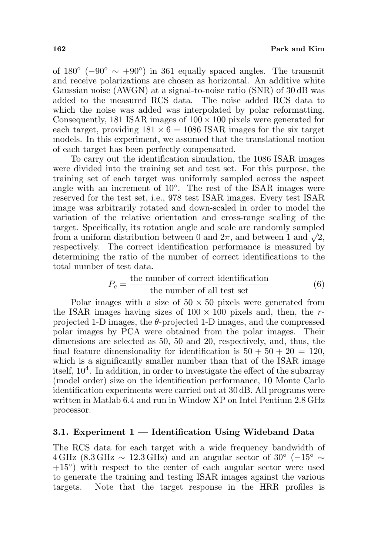of  $180^\circ$  ( $-90^\circ \sim +90^\circ$ ) in 361 equally spaced angles. The transmit and receive polarizations are chosen as horizontal. An additive white Gaussian noise (AWGN) at a signal-to-noise ratio (SNR) of 30 dB was added to the measured RCS data. The noise added RCS data to which the noise was added was interpolated by polar reformatting. Consequently, 181 ISAR images of  $100 \times 100$  pixels were generated for each target, providing  $181 \times 6 = 1086$  ISAR images for the six target models. In this experiment, we assumed that the translational motion of each target has been perfectly compensated.

To carry out the identification simulation, the 1086 ISAR images were divided into the training set and test set. For this purpose, the training set of each target was uniformly sampled across the aspect angle with an increment of 10◦ . The rest of the ISAR images were reserved for the test set, i.e., 978 test ISAR images. Every test ISAR image was arbitrarily rotated and down-scaled in order to model the variation of the relative orientation and cross-range scaling of the target. Specifically, its rotation angle and scale are randomly sampled target. Specincally, its rotation angle and scale are randomly sampled<br>from a uniform distribution between 0 and  $2\pi$ , and between 1 and  $\sqrt{2}$ , respectively. The correct identification performance is measured by determining the ratio of the number of correct identifications to the total number of test data.

$$
P_c = \frac{\text{the number of correct identification}}{\text{the number of all test set}} \tag{6}
$$

Polar images with a size of  $50 \times 50$  pixels were generated from the ISAR images having sizes of  $100 \times 100$  pixels and, then, the rprojected 1-D images, the  $\theta$ -projected 1-D images, and the compressed polar images by PCA were obtained from the polar images. Their dimensions are selected as 50, 50 and 20, respectively, and, thus, the final feature dimensionality for identification is  $50 + 50 + 20 = 120$ , which is a significantly smaller number than that of the ISAR image itself, 10<sup>4</sup> . In addition, in order to investigate the effect of the subarray (model order) size on the identification performance, 10 Monte Carlo identification experiments were carried out at 30 dB. All programs were written in Matlab 6.4 and run in Window XP on Intel Pentium 2.8 GHz processor.

### 3.1. Experiment  $1$  — Identification Using Wideband Data

The RCS data for each target with a wide frequency bandwidth of  $4 \text{ GHz } (8.3 \text{ GHz } \sim 12.3 \text{ GHz})$  and an angular sector of 30° (-15°  $\sim$ +15<sup>°</sup>) with respect to the center of each angular sector were used to generate the training and testing ISAR images against the various targets. Note that the target response in the HRR profiles is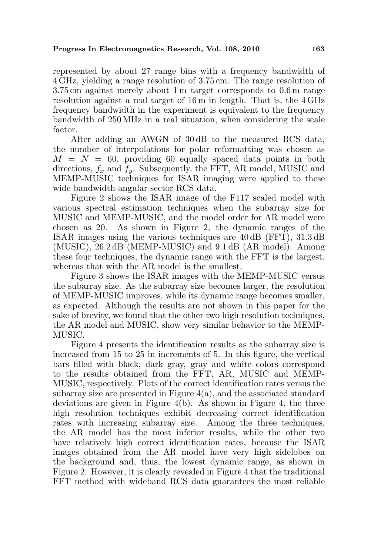represented by about 27 range bins with a frequency bandwidth of 4 GHz, yielding a range resolution of 3.75 cm. The range resolution of 3.75 cm against merely about 1 m target corresponds to 0.6 m range resolution against a real target of 16 m in length. That is, the 4 GHz frequency bandwidth in the experiment is equivalent to the frequency bandwidth of 250 MHz in a real situation, when considering the scale factor.

After adding an AWGN of 30 dB to the measured RCS data, the number of interpolations for polar reformatting was chosen as  $M = N = 60$ , providing 60 equally spaced data points in both directions,  $f_x$  and  $f_y$ . Subsequently, the FFT, AR model, MUSIC and MEMP-MUSIC techniques for ISAR imaging were applied to these wide bandwidth-angular sector RCS data.

Figure 2 shows the ISAR image of the F117 scaled model with various spectral estimation techniques when the subarray size for MUSIC and MEMP-MUSIC, and the model order for AR model were chosen as 20. As shown in Figure 2, the dynamic ranges of the ISAR images using the various techniques are 40 dB (FFT), 31.3 dB (MUSIC), 26.2 dB (MEMP-MUSIC) and 9.1 dB (AR model). Among these four techniques, the dynamic range with the FFT is the largest, whereas that with the AR model is the smallest.

Figure 3 shows the ISAR images with the MEMP-MUSIC versus the subarray size. As the subarray size becomes larger, the resolution of MEMP-MUSIC improves, while its dynamic range becomes smaller, as expected. Although the results are not shown in this paper for the sake of brevity, we found that the other two high resolution techniques, the AR model and MUSIC, show very similar behavior to the MEMP-MUSIC.

Figure 4 presents the identification results as the subarray size is increased from 15 to 25 in increments of 5. In this figure, the vertical bars filled with black, dark gray, gray and white colors correspond to the results obtained from the FFT, AR, MUSIC and MEMP-MUSIC, respectively. Plots of the correct identification rates versus the subarray size are presented in Figure  $4(a)$ , and the associated standard deviations are given in Figure 4(b). As shown in Figure 4, the three high resolution techniques exhibit decreasing correct identification rates with increasing subarray size. Among the three techniques, the AR model has the most inferior results, while the other two have relatively high correct identification rates, because the ISAR images obtained from the AR model have very high sidelobes on the background and, thus, the lowest dynamic range, as shown in Figure 2. However, it is clearly revealed in Figure 4 that the traditional FFT method with wideband RCS data guarantees the most reliable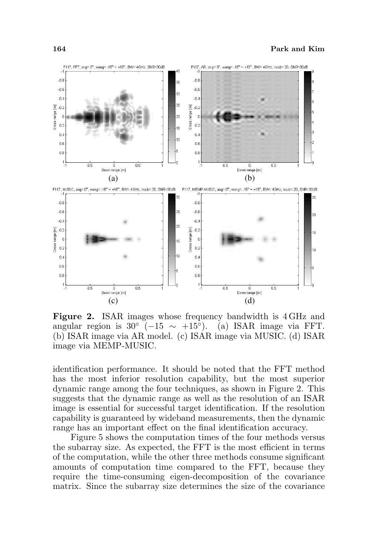

Figure 2. ISAR images whose frequency bandwidth is 4 GHz and angular region is  $30^{\circ}$  (-15 ~ +15<sup>o</sup>). (a) ISAR image via FFT. (b) ISAR image via AR model. (c) ISAR image via MUSIC. (d) ISAR image via MEMP-MUSIC.

identification performance. It should be noted that the FFT method has the most inferior resolution capability, but the most superior dynamic range among the four techniques, as shown in Figure 2. This suggests that the dynamic range as well as the resolution of an ISAR image is essential for successful target identification. If the resolution capability is guaranteed by wideband measurements, then the dynamic range has an important effect on the final identification accuracy.

Figure 5 shows the computation times of the four methods versus the subarray size. As expected, the FFT is the most efficient in terms of the computation, while the other three methods consume significant amounts of computation time compared to the FFT, because they require the time-consuming eigen-decomposition of the covariance matrix. Since the subarray size determines the size of the covariance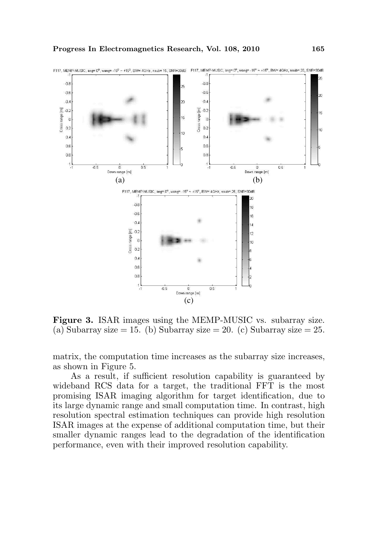

Figure 3. ISAR images using the MEMP-MUSIC vs. subarray size. (a) Subarray size  $= 15.$  (b) Subarray size  $= 20.$  (c) Subarray size  $= 25.$ 

matrix, the computation time increases as the subarray size increases, as shown in Figure 5.

As a result, if sufficient resolution capability is guaranteed by wideband RCS data for a target, the traditional FFT is the most promising ISAR imaging algorithm for target identification, due to its large dynamic range and small computation time. In contrast, high resolution spectral estimation techniques can provide high resolution ISAR images at the expense of additional computation time, but their smaller dynamic ranges lead to the degradation of the identification performance, even with their improved resolution capability.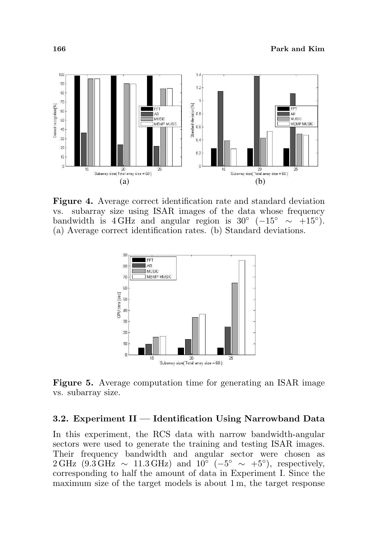

Figure 4. Average correct identification rate and standard deviation vs. subarray size using ISAR images of the data whose frequency bandwidth is 4 GHz and angular region is 30° ( $-15° \sim +15°$ ). (a) Average correct identification rates. (b) Standard deviations.



Figure 5. Average computation time for generating an ISAR image vs. subarray size.

## 3.2. Experiment II — Identification Using Narrowband Data

In this experiment, the RCS data with narrow bandwidth-angular sectors were used to generate the training and testing ISAR images. Their frequency bandwidth and angular sector were chosen as  $2 \text{ GHz}$  (9.3 GHz ~ 11.3 GHz) and  $10^{\circ}$  (-5° ~ +5°), respectively, corresponding to half the amount of data in Experiment I. Since the maximum size of the target models is about 1 m, the target response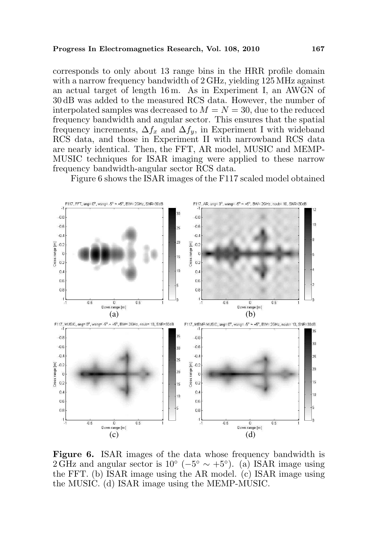#### Progress In Electromagnetics Research, Vol. 108, 2010 167

corresponds to only about 13 range bins in the HRR profile domain with a narrow frequency bandwidth of  $2 \text{ GHz}$ , yielding 125 MHz against an actual target of length 16 m. As in Experiment I, an AWGN of 30 dB was added to the measured RCS data. However, the number of interpolated samples was decreased to  $M = N = 30$ , due to the reduced frequency bandwidth and angular sector. This ensures that the spatial frequency increments,  $\Delta f_x$  and  $\Delta f_y$ , in Experiment I with wideband RCS data, and those in Experiment II with narrowband RCS data are nearly identical. Then, the FFT, AR model, MUSIC and MEMP-MUSIC techniques for ISAR imaging were applied to these narrow frequency bandwidth-angular sector RCS data.

Figure 6 shows the ISAR images of the F117 scaled model obtained



Figure 6. ISAR images of the data whose frequency bandwidth is 2 GHz and angular sector is  $10^{\circ}$  ( $-5^{\circ} \sim +5^{\circ}$ ). (a) ISAR image using the FFT. (b) ISAR image using the AR model. (c) ISAR image using the MUSIC. (d) ISAR image using the MEMP-MUSIC.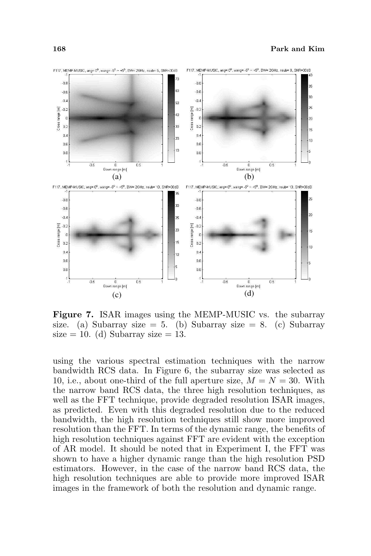

Figure 7. ISAR images using the MEMP-MUSIC vs. the subarray size. (a) Subarray size = 5. (b) Subarray size = 8. (c) Subarray size  $= 10$ . (d) Subarray size  $= 13$ .

using the various spectral estimation techniques with the narrow bandwidth RCS data. In Figure 6, the subarray size was selected as 10, i.e., about one-third of the full aperture size,  $M = N = 30$ . With the narrow band RCS data, the three high resolution techniques, as well as the FFT technique, provide degraded resolution ISAR images, as predicted. Even with this degraded resolution due to the reduced bandwidth, the high resolution techniques still show more improved resolution than the FFT. In terms of the dynamic range, the benefits of high resolution techniques against FFT are evident with the exception of AR model. It should be noted that in Experiment I, the FFT was shown to have a higher dynamic range than the high resolution PSD estimators. However, in the case of the narrow band RCS data, the high resolution techniques are able to provide more improved ISAR images in the framework of both the resolution and dynamic range.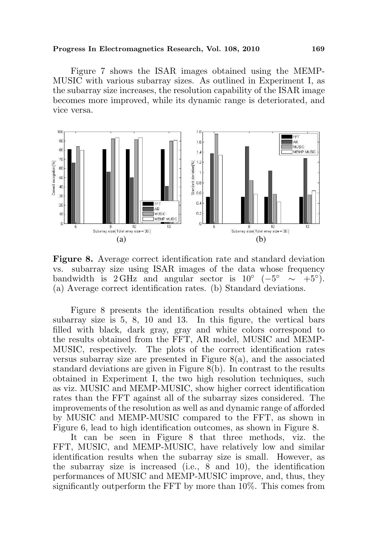#### Progress In Electromagnetics Research, Vol. 108, 2010 169

Figure 7 shows the ISAR images obtained using the MEMP-MUSIC with various subarray sizes. As outlined in Experiment I, as the subarray size increases, the resolution capability of the ISAR image becomes more improved, while its dynamic range is deteriorated, and vice versa.



Figure 8. Average correct identification rate and standard deviation vs. subarray size using ISAR images of the data whose frequency bandwidth is 2 GHz and angular sector is  $10^{\circ}$  (-5<sup>°</sup> ~ +5<sup>°</sup>). (a) Average correct identification rates. (b) Standard deviations.

Figure 8 presents the identification results obtained when the subarray size is 5, 8, 10 and 13. In this figure, the vertical bars filled with black, dark gray, gray and white colors correspond to the results obtained from the FFT, AR model, MUSIC and MEMP-MUSIC, respectively. The plots of the correct identification rates versus subarray size are presented in Figure 8(a), and the associated standard deviations are given in Figure 8(b). In contrast to the results obtained in Experiment I, the two high resolution techniques, such as viz. MUSIC and MEMP-MUSIC, show higher correct identification rates than the FFT against all of the subarray sizes considered. The improvements of the resolution as well as and dynamic range of afforded by MUSIC and MEMP-MUSIC compared to the FFT, as shown in Figure 6, lead to high identification outcomes, as shown in Figure 8.

It can be seen in Figure 8 that three methods, viz. the FFT, MUSIC, and MEMP-MUSIC, have relatively low and similar identification results when the subarray size is small. However, as the subarray size is increased (i.e., 8 and 10), the identification performances of MUSIC and MEMP-MUSIC improve, and, thus, they significantly outperform the FFT by more than 10%. This comes from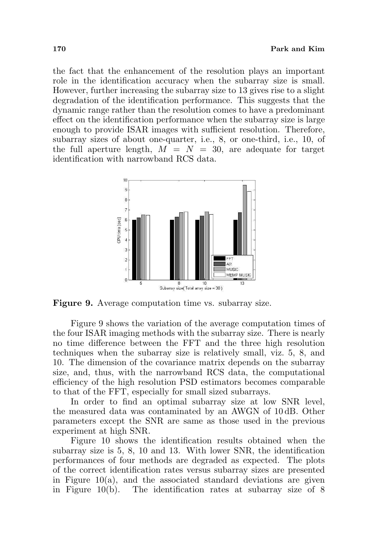the fact that the enhancement of the resolution plays an important role in the identification accuracy when the subarray size is small. However, further increasing the subarray size to 13 gives rise to a slight degradation of the identification performance. This suggests that the dynamic range rather than the resolution comes to have a predominant effect on the identification performance when the subarray size is large enough to provide ISAR images with sufficient resolution. Therefore, subarray sizes of about one-quarter, i.e., 8, or one-third, i.e., 10, of the full aperture length,  $M = N = 30$ , are adequate for target identification with narrowband RCS data.



Figure 9. Average computation time vs. subarray size.

Figure 9 shows the variation of the average computation times of the four ISAR imaging methods with the subarray size. There is nearly no time difference between the FFT and the three high resolution techniques when the subarray size is relatively small, viz. 5, 8, and 10. The dimension of the covariance matrix depends on the subarray size, and, thus, with the narrowband RCS data, the computational efficiency of the high resolution PSD estimators becomes comparable to that of the FFT, especially for small sized subarrays.

In order to find an optimal subarray size at low SNR level, the measured data was contaminated by an AWGN of 10 dB. Other parameters except the SNR are same as those used in the previous experiment at high SNR.

Figure 10 shows the identification results obtained when the subarray size is 5, 8, 10 and 13. With lower SNR, the identification performances of four methods are degraded as expected. The plots of the correct identification rates versus subarray sizes are presented in Figure  $10(a)$ , and the associated standard deviations are given in Figure 10(b). The identification rates at subarray size of 8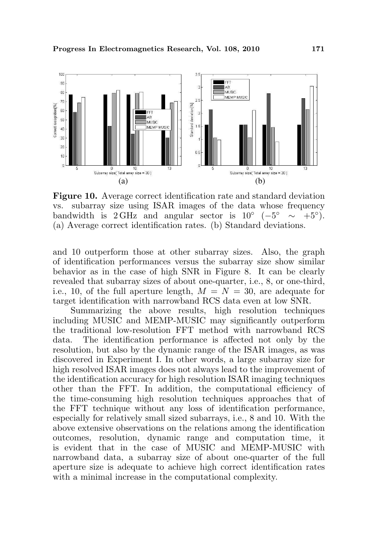

Figure 10. Average correct identification rate and standard deviation vs. subarray size using ISAR images of the data whose frequency bandwidth is 2 GHz and angular sector is  $10^{\circ}$  (-5<sup>°</sup> ~ +5<sup>°</sup>). (a) Average correct identification rates. (b) Standard deviations.

and 10 outperform those at other subarray sizes. Also, the graph of identification performances versus the subarray size show similar behavior as in the case of high SNR in Figure 8. It can be clearly revealed that subarray sizes of about one-quarter, i.e., 8, or one-third, i.e., 10, of the full aperture length,  $M = N = 30$ , are adequate for target identification with narrowband RCS data even at low SNR.

Summarizing the above results, high resolution techniques including MUSIC and MEMP-MUSIC may significantly outperform the traditional low-resolution FFT method with narrowband RCS data. The identification performance is affected not only by the resolution, but also by the dynamic range of the ISAR images, as was discovered in Experiment I. In other words, a large subarray size for high resolved ISAR images does not always lead to the improvement of the identification accuracy for high resolution ISAR imaging techniques other than the FFT. In addition, the computational efficiency of the time-consuming high resolution techniques approaches that of the FFT technique without any loss of identification performance, especially for relatively small sized subarrays, i.e., 8 and 10. With the above extensive observations on the relations among the identification outcomes, resolution, dynamic range and computation time, it is evident that in the case of MUSIC and MEMP-MUSIC with narrowband data, a subarray size of about one-quarter of the full aperture size is adequate to achieve high correct identification rates with a minimal increase in the computational complexity.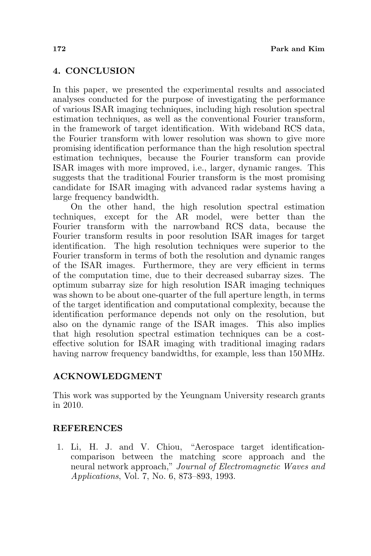# 4. CONCLUSION

In this paper, we presented the experimental results and associated analyses conducted for the purpose of investigating the performance of various ISAR imaging techniques, including high resolution spectral estimation techniques, as well as the conventional Fourier transform, in the framework of target identification. With wideband RCS data, the Fourier transform with lower resolution was shown to give more promising identification performance than the high resolution spectral estimation techniques, because the Fourier transform can provide ISAR images with more improved, i.e., larger, dynamic ranges. This suggests that the traditional Fourier transform is the most promising candidate for ISAR imaging with advanced radar systems having a large frequency bandwidth.

On the other hand, the high resolution spectral estimation techniques, except for the AR model, were better than the Fourier transform with the narrowband RCS data, because the Fourier transform results in poor resolution ISAR images for target identification. The high resolution techniques were superior to the Fourier transform in terms of both the resolution and dynamic ranges of the ISAR images. Furthermore, they are very efficient in terms of the computation time, due to their decreased subarray sizes. The optimum subarray size for high resolution ISAR imaging techniques was shown to be about one-quarter of the full aperture length, in terms of the target identification and computational complexity, because the identification performance depends not only on the resolution, but also on the dynamic range of the ISAR images. This also implies that high resolution spectral estimation techniques can be a costeffective solution for ISAR imaging with traditional imaging radars having narrow frequency bandwidths, for example, less than 150 MHz.

## ACKNOWLEDGMENT

This work was supported by the Yeungnam University research grants in 2010.

### **REFERENCES**

1. Li, H. J. and V. Chiou, "Aerospace target identificationcomparison between the matching score approach and the neural network approach," Journal of Electromagnetic Waves and Applications, Vol. 7, No. 6, 873–893, 1993.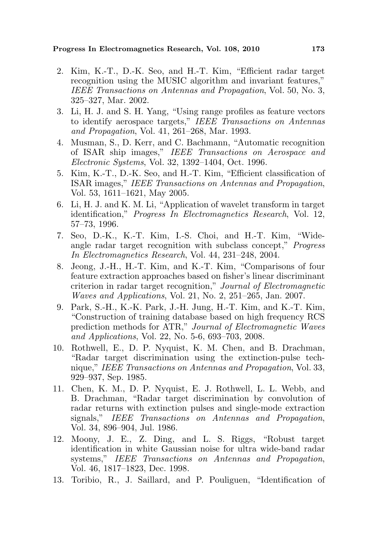- 2. Kim, K.-T., D.-K. Seo, and H.-T. Kim, "Efficient radar target recognition using the MUSIC algorithm and invariant features," IEEE Transactions on Antennas and Propagation, Vol. 50, No. 3, 325–327, Mar. 2002.
- 3. Li, H. J. and S. H. Yang, "Using range profiles as feature vectors to identify aerospace targets," IEEE Transactions on Antennas and Propagation, Vol. 41, 261–268, Mar. 1993.
- 4. Musman, S., D. Kerr, and C. Bachmann, "Automatic recognition of ISAR ship images," IEEE Transactions on Aerospace and Electronic Systems, Vol. 32, 1392–1404, Oct. 1996.
- 5. Kim, K.-T., D.-K. Seo, and H.-T. Kim, "Efficient classification of ISAR images," IEEE Transactions on Antennas and Propagation, Vol. 53, 1611–1621, May 2005.
- 6. Li, H. J. and K. M. Li, "Application of wavelet transform in target identification," Progress In Electromagnetics Research, Vol. 12, 57–73, 1996.
- 7. Seo, D.-K., K.-T. Kim, I.-S. Choi, and H.-T. Kim, "Wideangle radar target recognition with subclass concept," Progress In Electromagnetics Research, Vol. 44, 231–248, 2004.
- 8. Jeong, J.-H., H.-T. Kim, and K.-T. Kim, "Comparisons of four feature extraction approaches based on fisher's linear discriminant criterion in radar target recognition," Journal of Electromagnetic Waves and Applications, Vol. 21, No. 2, 251–265, Jan. 2007.
- 9. Park, S.-H., K.-K. Park, J.-H. Jung, H.-T. Kim, and K.-T. Kim, "Construction of training database based on high frequency RCS prediction methods for ATR," Journal of Electromagnetic Waves and Applications, Vol. 22, No. 5-6, 693–703, 2008.
- 10. Rothwell, E., D. P. Nyquist, K. M. Chen, and B. Drachman, "Radar target discrimination using the extinction-pulse technique," IEEE Transactions on Antennas and Propagation, Vol. 33, 929–937, Sep. 1985.
- 11. Chen, K. M., D. P. Nyquist, E. J. Rothwell, L. L. Webb, and B. Drachman, "Radar target discrimination by convolution of radar returns with extinction pulses and single-mode extraction signals," IEEE Transactions on Antennas and Propagation, Vol. 34, 896–904, Jul. 1986.
- 12. Moony, J. E., Z. Ding, and L. S. Riggs, "Robust target identification in white Gaussian noise for ultra wide-band radar systems," IEEE Transactions on Antennas and Propagation, Vol. 46, 1817–1823, Dec. 1998.
- 13. Toribio, R., J. Saillard, and P. Pouliguen, "Identification of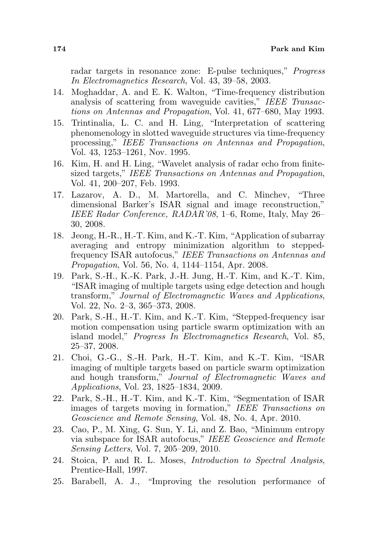radar targets in resonance zone: E-pulse techniques," Progress In Electromagnetics Research, Vol. 43, 39–58, 2003.

- 14. Moghaddar, A. and E. K. Walton, "Time-frequency distribution analysis of scattering from waveguide cavities," IEEE Transactions on Antennas and Propagation, Vol. 41, 677–680, May 1993.
- 15. Trintinalia, L. C. and H. Ling, "Interpretation of scattering phenomenology in slotted waveguide structures via time-frequency processing," IEEE Transactions on Antennas and Propagation, Vol. 43, 1253–1261, Nov. 1995.
- 16. Kim, H. and H. Ling, "Wavelet analysis of radar echo from finitesized targets," IEEE Transactions on Antennas and Propagation, Vol. 41, 200–207, Feb. 1993.
- 17. Lazarov, A. D., M. Martorella, and C. Minchev, "Three dimensional Barker's ISAR signal and image reconstruction," IEEE Radar Conference, RADAR'08, 1–6, Rome, Italy, May 26– 30, 2008.
- 18. Jeong, H.-R., H.-T. Kim, and K.-T. Kim, "Application of subarray averaging and entropy minimization algorithm to steppedfrequency ISAR autofocus," IEEE Transactions on Antennas and Propagation, Vol. 56, No. 4, 1144–1154, Apr. 2008.
- 19. Park, S.-H., K.-K. Park, J.-H. Jung, H.-T. Kim, and K.-T. Kim, "ISAR imaging of multiple targets using edge detection and hough transform," Journal of Electromagnetic Waves and Applications, Vol. 22, No. 2–3, 365–373, 2008.
- 20. Park, S.-H., H.-T. Kim, and K.-T. Kim, "Stepped-frequency isar motion compensation using particle swarm optimization with an island model," Progress In Electromagnetics Research, Vol. 85, 25–37, 2008.
- 21. Choi, G.-G., S.-H. Park, H.-T. Kim, and K.-T. Kim, "ISAR imaging of multiple targets based on particle swarm optimization and hough transform," Journal of Electromagnetic Waves and Applications, Vol. 23, 1825–1834, 2009.
- 22. Park, S.-H., H.-T. Kim, and K.-T. Kim, "Segmentation of ISAR images of targets moving in formation," IEEE Transactions on Geoscience and Remote Sensing, Vol. 48, No. 4, Apr. 2010.
- 23. Cao, P., M. Xing, G. Sun, Y. Li, and Z. Bao, "Minimum entropy via subspace for ISAR autofocus," IEEE Geoscience and Remote Sensing Letters, Vol. 7, 205–209, 2010.
- 24. Stoica, P. and R. L. Moses, Introduction to Spectral Analysis, Prentice-Hall, 1997.
- 25. Barabell, A. J., "Improving the resolution performance of